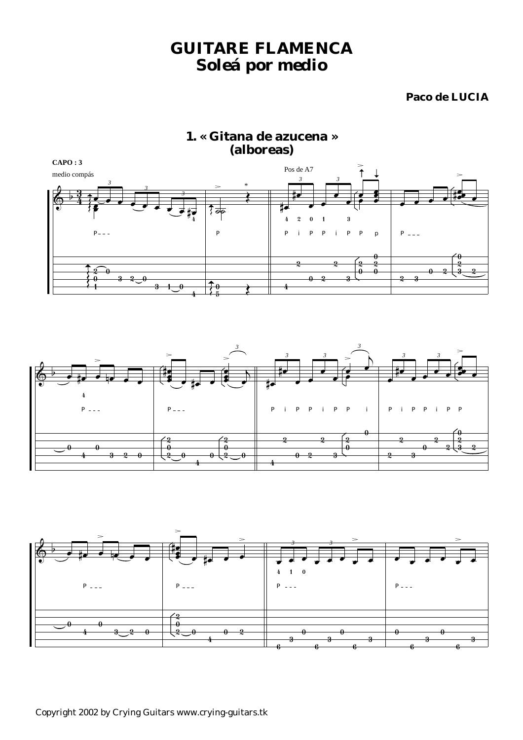# *GUITARE FLAMENCA Soleá por medio*

## **Paco de LUCIA**







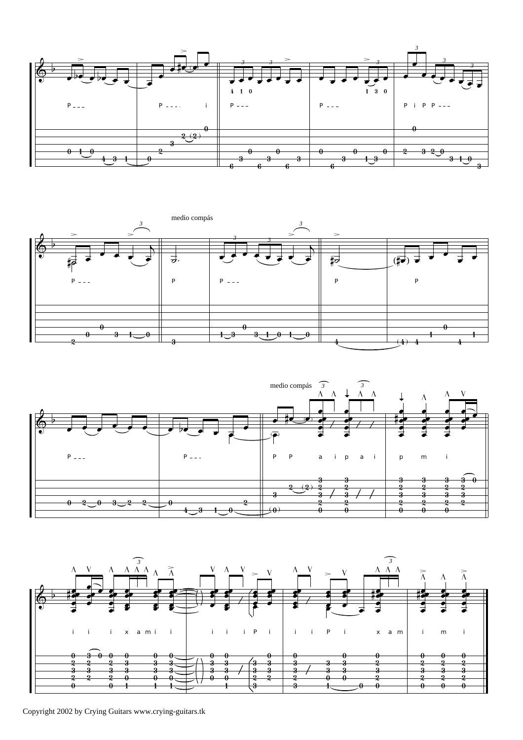







Copyright 2002 by Crying Guitars www.crying-guitars.tk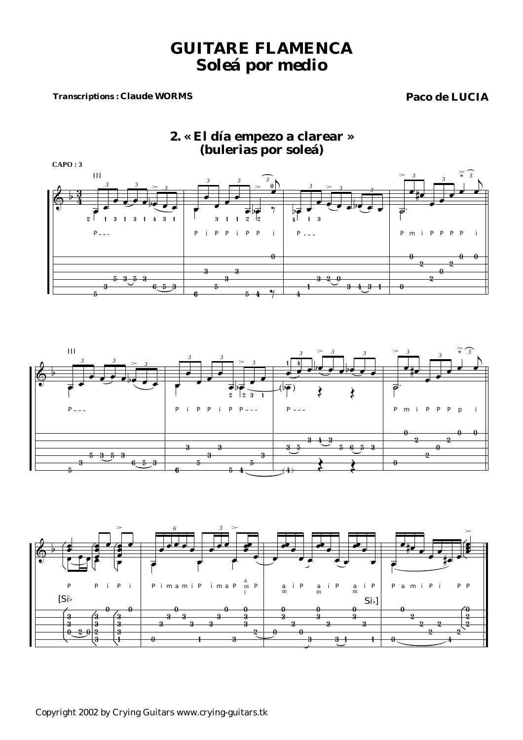# *GUITARE FLAMENCA Soleá por medio*

### *Transcriptions :* **Claude WORMS Paco de LUCIA**

## **2. « El día empezo a clarear » (bulerias por soleá)**